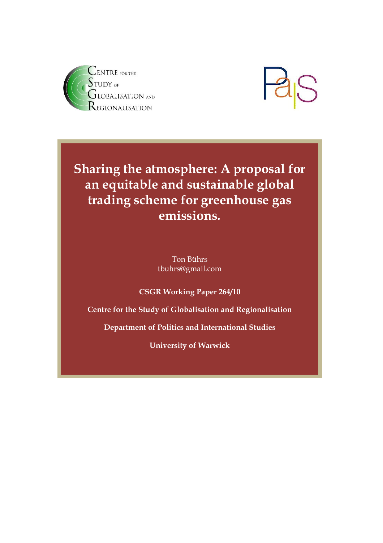



# **Sharing the atmosphere: A proposal for an equitable and sustainable global trading scheme for greenhouse gas emissions.**

Ton Bührs tbuhrs@gmail.com

**CSGR Working Paper 264/10**

**Centre for the Study of Globalisation and Regionalisation**

**Department of Politics and International Studies**

**University of Warwick**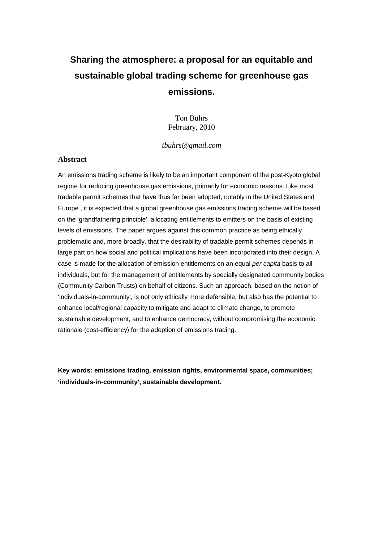## **Sharing the atmosphere: a proposal for an equitable and sustainable global trading scheme for greenhouse gas emissions.**

Ton Bührs February, 2010

*tbuhrs@gmail.com*

#### **Abstract**

An emissions trading scheme is likely to be an important component of the post-Kyoto global regime for reducing greenhouse gas emissions, primarily for economic reasons. Like most tradable permit schemes that have thus far been adopted, notably in the United States and Europe , it is expected that a global greenhouse gas emissions trading scheme will be based on the 'grandfathering principle', allocating entitlements to emitters on the basis of existing levels of emissions. The paper argues against this common practice as being ethically problematic and, more broadly, that the desirability of tradable permit schemes depends in large part on how social and political implications have been incorporated into their design. A case is made for the allocation of emission entitlements on an equal *per capita* basis to all individuals, but for the management of entitlements by specially designated community bodies (Community Carbon Trusts) on behalf of citizens. Such an approach, based on the notion of 'individuals-in-community', is not only ethically more defensible, but also has the potential to enhance local/regional capacity to mitigate and adapt to climate change, to promote sustainable development, and to enhance democracy, without compromising the economic rationale (cost-efficiency) for the adoption of emissions trading.

**Key words: emissions trading, emission rights, environmental space, communities; 'individuals-in-community', sustainable development.**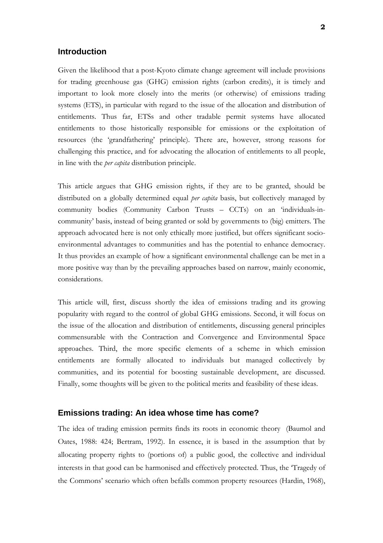#### **Introduction**

Given the likelihood that a post-Kyoto climate change agreement will include provisions for trading greenhouse gas (GHG) emission rights (carbon credits), it is timely and important to look more closely into the merits (or otherwise) of emissions trading systems (ETS), in particular with regard to the issue of the allocation and distribution of entitlements. Thus far, ETSs and other tradable permit systems have allocated entitlements to those historically responsible for emissions or the exploitation of resources (the 'grandfathering' principle). There are, however, strong reasons for challenging this practice, and for advocating the allocation of entitlements to all people, in line with the *per capita* distribution principle.

This article argues that GHG emission rights, if they are to be granted, should be distributed on a globally determined equal *per capita* basis, but collectively managed by community bodies (Community Carbon Trusts – CCTs) on an 'individuals-incommunity' basis, instead of being granted or sold by governments to (big) emitters. The approach advocated here is not only ethically more justified, but offers significant socioenvironmental advantages to communities and has the potential to enhance democracy. It thus provides an example of how a significant environmental challenge can be met in a more positive way than by the prevailing approaches based on narrow, mainly economic, considerations.

This article will, first, discuss shortly the idea of emissions trading and its growing popularity with regard to the control of global GHG emissions. Second, it will focus on the issue of the allocation and distribution of entitlements, discussing general principles commensurable with the Contraction and Convergence and Environmental Space approaches. Third, the more specific elements of a scheme in which emission entitlements are formally allocated to individuals but managed collectively by communities, and its potential for boosting sustainable development, are discussed. Finally, some thoughts will be given to the political merits and feasibility of these ideas.

#### **Emissions trading: An idea whose time has come?**

The idea of trading emission permits finds its roots in economic theory (Baumol and Oates, 1988: 424; Bertram, 1992). In essence, it is based in the assumption that by allocating property rights to (portions of) a public good, the collective and individual interests in that good can be harmonised and effectively protected. Thus, the 'Tragedy of the Commons' scenario which often befalls common property resources (Hardin, 1968),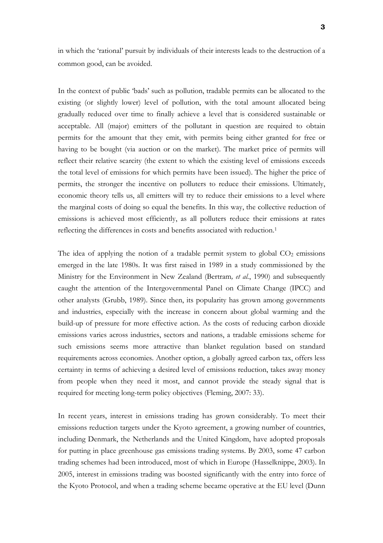in which the 'rational' pursuit by individuals of their interests leads to the destruction of a common good, can be avoided.

In the context of public 'bads' such as pollution, tradable permits can be allocated to the existing (or slightly lower) level of pollution, with the total amount allocated being gradually reduced over time to finally achieve a level that is considered sustainable or acceptable. All (major) emitters of the pollutant in question are required to obtain permits for the amount that they emit, with permits being either granted for free or having to be bought (via auction or on the market). The market price of permits will reflect their relative scarcity (the extent to which the existing level of emissions exceeds the total level of emissions for which permits have been issued). The higher the price of permits, the stronger the incentive on polluters to reduce their emissions. Ultimately, economic theory tells us, all emitters will try to reduce their emissions to a level where the marginal costs of doing so equal the benefits. In this way, the collective reduction of emissions is achieved most efficiently, as all polluters reduce their emissions at rates reflecting the differences in costs and benefits associated with reduction.<sup>1</sup>

The idea of applying the notion of a tradable permit system to global  $CO<sub>2</sub>$  emissions emerged in the late 1980s. It was first raised in 1989 in a study commissioned by the Ministry for the Environment in New Zealand (Bertram*, et al.*, 1990) and subsequently caught the attention of the Intergovernmental Panel on Climate Change (IPCC) and other analysts (Grubb, 1989). Since then, its popularity has grown among governments and industries, especially with the increase in concern about global warming and the build-up of pressure for more effective action. As the costs of reducing carbon dioxide emissions varies across industries, sectors and nations, a tradable emissions scheme for such emissions seems more attractive than blanket regulation based on standard requirements across economies. Another option, a globally agreed carbon tax, offers less certainty in terms of achieving a desired level of emissions reduction, takes away money from people when they need it most, and cannot provide the steady signal that is required for meeting long-term policy objectives (Fleming, 2007: 33).

In recent years, interest in emissions trading has grown considerably. To meet their emissions reduction targets under the Kyoto agreement, a growing number of countries, including Denmark, the Netherlands and the United Kingdom, have adopted proposals for putting in place greenhouse gas emissions trading systems. By 2003, some 47 carbon trading schemes had been introduced, most of which in Europe (Hasselknippe, 2003). In 2005, interest in emissions trading was boosted significantly with the entry into force of the Kyoto Protocol, and when a trading scheme became operative at the EU level (Dunn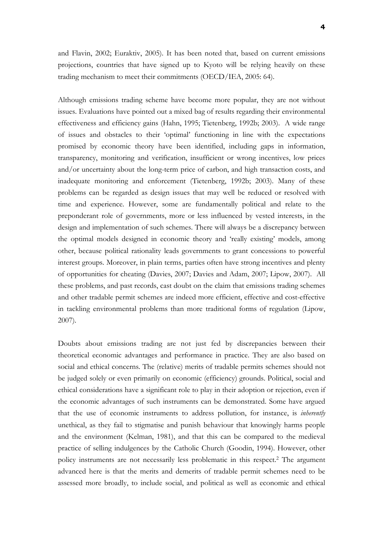and Flavin, 2002; Euraktiv, 2005). It has been noted that, based on current emissions projections, countries that have signed up to Kyoto will be relying heavily on these trading mechanism to meet their commitments (OECD/IEA, 2005: 64).

Although emissions trading scheme have become more popular, they are not without issues. Evaluations have pointed out a mixed bag of results regarding their environmental effectiveness and efficiency gains (Hahn, 1995; Tietenberg, 1992b; 2003). A wide range of issues and obstacles to their 'optimal' functioning in line with the expectations promised by economic theory have been identified, including gaps in information, transparency, monitoring and verification, insufficient or wrong incentives, low prices and/or uncertainty about the long-term price of carbon, and high transaction costs, and inadequate monitoring and enforcement (Tietenberg, 1992b; 2003). Many of these problems can be regarded as design issues that may well be reduced or resolved with time and experience. However, some are fundamentally political and relate to the preponderant role of governments, more or less influenced by vested interests, in the design and implementation of such schemes. There will always be a discrepancy between the optimal models designed in economic theory and 'really existing' models, among other, because political rationality leads governments to grant concessions to powerful interest groups. Moreover, in plain terms, parties often have strong incentives and plenty of opportunities for cheating (Davies, 2007; Davies and Adam, 2007; Lipow, 2007). All these problems, and past records, cast doubt on the claim that emissions trading schemes and other tradable permit schemes are indeed more efficient, effective and cost-effective in tackling environmental problems than more traditional forms of regulation (Lipow, 2007).

Doubts about emissions trading are not just fed by discrepancies between their theoretical economic advantages and performance in practice. They are also based on social and ethical concerns. The (relative) merits of tradable permits schemes should not be judged solely or even primarily on economic (efficiency) grounds. Political, social and ethical considerations have a significant role to play in their adoption or rejection, even if the economic advantages of such instruments can be demonstrated. Some have argued that the use of economic instruments to address pollution, for instance, is *inherently* unethical, as they fail to stigmatise and punish behaviour that knowingly harms people and the environment (Kelman, 1981), and that this can be compared to the medieval practice of selling indulgences by the Catholic Church (Goodin, 1994). However, other policy instruments are not necessarily less problematic in this respect.<sup>2</sup> The argument advanced here is that the merits and demerits of tradable permit schemes need to be assessed more broadly, to include social, and political as well as economic and ethical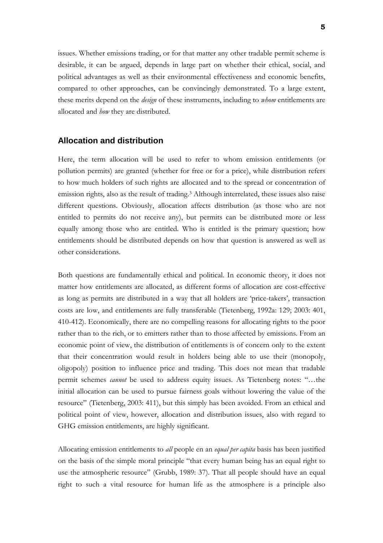issues. Whether emissions trading, or for that matter any other tradable permit scheme is desirable, it can be argued, depends in large part on whether their ethical, social, and political advantages as well as their environmental effectiveness and economic benefits, compared to other approaches, can be convincingly demonstrated. To a large extent, these merits depend on the *design* of these instruments, including to *whom* entitlements are allocated and *how* they are distributed.

#### **Allocation and distribution**

Here, the term allocation will be used to refer to whom emission entitlements (or pollution permits) are granted (whether for free or for a price), while distribution refers to how much holders of such rights are allocated and to the spread or concentration of emission rights, also as the result of trading.<sup>3</sup> Although interrelated, these issues also raise different questions. Obviously, allocation affects distribution (as those who are not entitled to permits do not receive any), but permits can be distributed more or less equally among those who are entitled. Who is entitled is the primary question; how entitlements should be distributed depends on how that question is answered as well as other considerations.

Both questions are fundamentally ethical and political. In economic theory, it does not matter how entitlements are allocated, as different forms of allocation are cost-effective as long as permits are distributed in a way that all holders are 'price-takers', transaction costs are low, and entitlements are fully transferable (Tietenberg, 1992a: 129; 2003: 401, 410-412). Economically, there are no compelling reasons for allocating rights to the poor rather than to the rich, or to emitters rather than to those affected by emissions. From an economic point of view, the distribution of entitlements is of concern only to the extent that their concentration would result in holders being able to use their (monopoly, oligopoly) position to influence price and trading. This does not mean that tradable permit schemes *cannot* be used to address equity issues. As Tietenberg notes: "…the initial allocation can be used to pursue fairness goals without lowering the value of the resource" (Tietenberg, 2003: 411), but this simply has been avoided. From an ethical and political point of view, however, allocation and distribution issues, also with regard to GHG emission entitlements, are highly significant.

Allocating emission entitlements to *all* people en an *equal per capita* basis has been justified on the basis of the simple moral principle "that every human being has an equal right to use the atmospheric resource" (Grubb, 1989: 37). That all people should have an equal right to such a vital resource for human life as the atmosphere is a principle also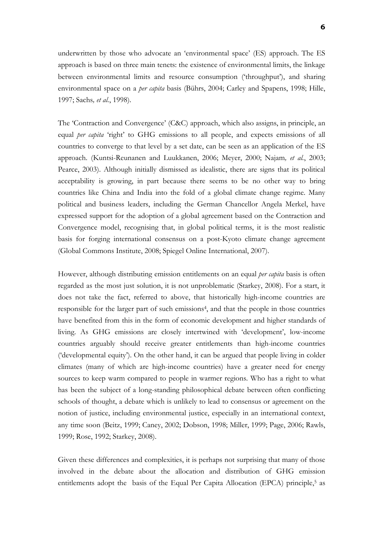underwritten by those who advocate an 'environmental space' (ES) approach. The ES approach is based on three main tenets: the existence of environmental limits, the linkage between environmental limits and resource consumption ('throughput'), and sharing environmental space on a *per capita* basis (Bührs, 2004; Carley and Spapens, 1998; Hille, 1997; Sachs*, et al.*, 1998).

The 'Contraction and Convergence' (C&C) approach, which also assigns, in principle, an equal *per capita* 'right' to GHG emissions to all people, and expects emissions of all countries to converge to that level by a set date, can be seen as an application of the ES approach. (Kuntsi-Reunanen and Luukkanen, 2006; Meyer, 2000; Najam*, et al.*, 2003; Pearce, 2003). Although initially dismissed as idealistic, there are signs that its political acceptability is growing, in part because there seems to be no other way to bring countries like China and India into the fold of a global climate change regime. Many political and business leaders, including the German Chancellor Angela Merkel, have expressed support for the adoption of a global agreement based on the Contraction and Convergence model, recognising that, in global political terms, it is the most realistic basis for forging international consensus on a post-Kyoto climate change agreement (Global Commons Institute, 2008; Spiegel Online International, 2007).

However, although distributing emission entitlements on an equal *per capita* basis is often regarded as the most just solution, it is not unproblematic (Starkey, 2008). For a start, it does not take the fact, referred to above, that historically high-income countries are responsible for the larger part of such emissions<sup>4</sup>, and that the people in those countries have benefited from this in the form of economic development and higher standards of living. As GHG emissions are closely intertwined with 'development', low-income countries arguably should receive greater entitlements than high-income countries ('developmental equity'). On the other hand, it can be argued that people living in colder climates (many of which are high-income countries) have a greater need for energy sources to keep warm compared to people in warmer regions. Who has a right to what has been the subject of a long-standing philosophical debate between often conflicting schools of thought, a debate which is unlikely to lead to consensus or agreement on the notion of justice, including environmental justice, especially in an international context, any time soon (Beitz, 1999; Caney, 2002; Dobson, 1998; Miller, 1999; Page, 2006; Rawls, 1999; Rose, 1992; Starkey, 2008).

Given these differences and complexities, it is perhaps not surprising that many of those involved in the debate about the allocation and distribution of GHG emission entitlements adopt the basis of the Equal Per Capita Allocation (EPCA) principle,<sup>5</sup> as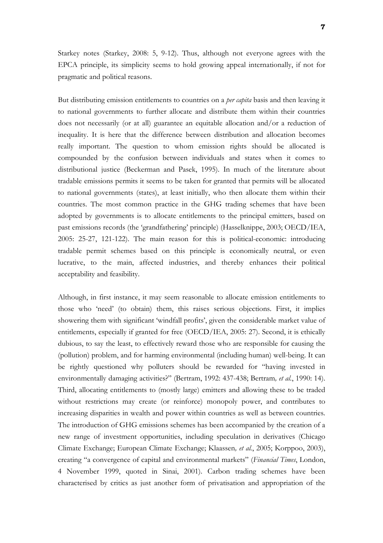Starkey notes (Starkey, 2008: 5, 9-12). Thus, although not everyone agrees with the EPCA principle, its simplicity seems to hold growing appeal internationally, if not for pragmatic and political reasons.

But distributing emission entitlements to countries on a *per capita* basis and then leaving it to national governments to further allocate and distribute them within their countries does not necessarily (or at all) guarantee an equitable allocation and/or a reduction of inequality. It is here that the difference between distribution and allocation becomes really important. The question to whom emission rights should be allocated is compounded by the confusion between individuals and states when it comes to distributional justice (Beckerman and Pasek, 1995). In much of the literature about tradable emissions permits it seems to be taken for granted that permits will be allocated to national governments (states), at least initially, who then allocate them within their countries. The most common practice in the GHG trading schemes that have been adopted by governments is to allocate entitlements to the principal emitters, based on past emissions records (the 'grandfathering' principle) (Hasselknippe, 2003; OECD/IEA, 2005: 25-27, 121-122). The main reason for this is political-economic: introducing tradable permit schemes based on this principle is economically neutral, or even lucrative, to the main, affected industries, and thereby enhances their political acceptability and feasibility.

Although, in first instance, it may seem reasonable to allocate emission entitlements to those who 'need' (to obtain) them, this raises serious objections. First, it implies showering them with significant 'windfall profits', given the considerable market value of entitlements, especially if granted for free (OECD/IEA, 2005: 27). Second, it is ethically dubious, to say the least, to effectively reward those who are responsible for causing the (pollution) problem, and for harming environmental (including human) well-being. It can be rightly questioned why polluters should be rewarded for "having invested in environmentally damaging activities?" (Bertram, 1992: 437-438; Bertram*, et al.*, 1990: 14). Third, allocating entitlements to (mostly large) emitters and allowing these to be traded without restrictions may create (or reinforce) monopoly power, and contributes to increasing disparities in wealth and power within countries as well as between countries. The introduction of GHG emissions schemes has been accompanied by the creation of a new range of investment opportunities, including speculation in derivatives (Chicago Climate Exchange; European Climate Exchange; Klaassen*, et al.*, 2005; Korppoo, 2003), creating "a convergence of capital and environmental markets" (*Financial Times*, London, 4 November 1999, quoted in Sinai, 2001). Carbon trading schemes have been characterised by critics as just another form of privatisation and appropriation of the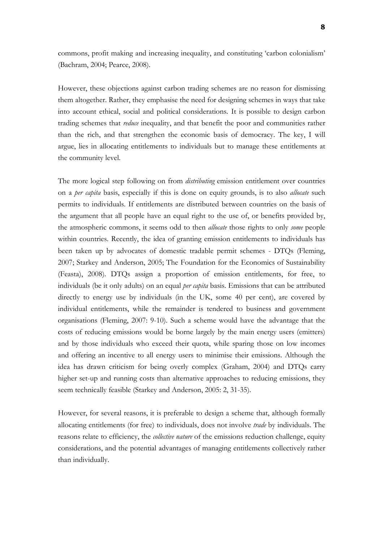commons, profit making and increasing inequality, and constituting 'carbon colonialism' (Bachram, 2004; Pearce, 2008).

However, these objections against carbon trading schemes are no reason for dismissing them altogether. Rather, they emphasise the need for designing schemes in ways that take into account ethical, social and political considerations. It is possible to design carbon trading schemes that *reduce* inequality, and that benefit the poor and communities rather than the rich, and that strengthen the economic basis of democracy. The key, I will argue, lies in allocating entitlements to individuals but to manage these entitlements at the community level.

The more logical step following on from *distributing* emission entitlement over countries on a *per capita* basis, especially if this is done on equity grounds, is to also *allocate* such permits to individuals. If entitlements are distributed between countries on the basis of the argument that all people have an equal right to the use of, or benefits provided by, the atmospheric commons, it seems odd to then *allocate* those rights to only *some* people within countries. Recently, the idea of granting emission entitlements to individuals has been taken up by advocates of domestic tradable permit schemes - DTQs (Fleming, 2007; Starkey and Anderson, 2005; The Foundation for the Economics of Sustainability (Feasta), 2008). DTQs assign a proportion of emission entitlements, for free, to individuals (be it only adults) on an equal *per capita* basis. Emissions that can be attributed directly to energy use by individuals (in the UK, some 40 per cent), are covered by individual entitlements, while the remainder is tendered to business and government organisations (Fleming, 2007: 9-10). Such a scheme would have the advantage that the costs of reducing emissions would be borne largely by the main energy users (emitters) and by those individuals who exceed their quota, while sparing those on low incomes and offering an incentive to all energy users to minimise their emissions. Although the idea has drawn criticism for being overly complex (Graham, 2004) and DTQs carry higher set-up and running costs than alternative approaches to reducing emissions, they seem technically feasible (Starkey and Anderson, 2005: 2, 31-35).

However, for several reasons, it is preferable to design a scheme that, although formally allocating entitlements (for free) to individuals, does not involve *trade* by individuals. The reasons relate to efficiency, the *collective nature* of the emissions reduction challenge, equity considerations, and the potential advantages of managing entitlements collectively rather than individually.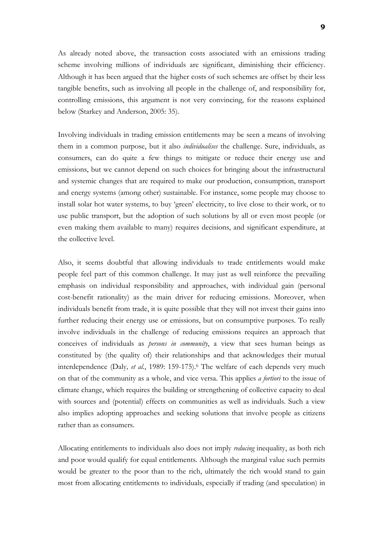As already noted above, the transaction costs associated with an emissions trading scheme involving millions of individuals are significant, diminishing their efficiency. Although it has been argued that the higher costs of such schemes are offset by their less tangible benefits, such as involving all people in the challenge of, and responsibility for, controlling emissions, this argument is not very convincing, for the reasons explained below (Starkey and Anderson, 2005: 35).

Involving individuals in trading emission entitlements may be seen a means of involving them in a common purpose, but it also *individualises* the challenge. Sure, individuals, as consumers, can do quite a few things to mitigate or reduce their energy use and emissions, but we cannot depend on such choices for bringing about the infrastructural and systemic changes that are required to make our production, consumption, transport and energy systems (among other) sustainable. For instance, some people may choose to install solar hot water systems, to buy 'green' electricity, to live close to their work, or to use public transport, but the adoption of such solutions by all or even most people (or even making them available to many) requires decisions, and significant expenditure, at the collective level.

Also, it seems doubtful that allowing individuals to trade entitlements would make people feel part of this common challenge. It may just as well reinforce the prevailing emphasis on individual responsibility and approaches, with individual gain (personal cost-benefit rationality) as the main driver for reducing emissions. Moreover, when individuals benefit from trade, it is quite possible that they will not invest their gains into further reducing their energy use or emissions, but on consumptive purposes. To really involve individuals in the challenge of reducing emissions requires an approach that conceives of individuals as *persons in community*, a view that sees human beings as constituted by (the quality of) their relationships and that acknowledges their mutual interdependence (Daly, et al., 1989: 159-175).<sup>6</sup> The welfare of each depends very much on that of the community as a whole, and vice versa. This applies *a fortiori* to the issue of climate change, which requires the building or strengthening of collective capacity to deal with sources and (potential) effects on communities as well as individuals. Such a view also implies adopting approaches and seeking solutions that involve people as citizens rather than as consumers.

Allocating entitlements to individuals also does not imply *reducing* inequality, as both rich and poor would qualify for equal entitlements. Although the marginal value such permits would be greater to the poor than to the rich, ultimately the rich would stand to gain most from allocating entitlements to individuals, especially if trading (and speculation) in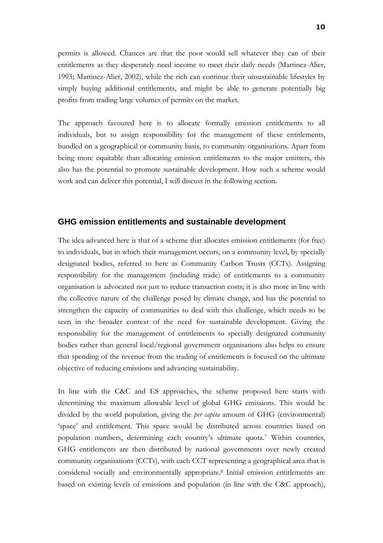permits is allowed. Chances are that the poor would sell whatever they can of their entitlements as they desperately need income to meet their daily needs (Martinez-Alier, 1993; Martinez-Alier, 2002), while the rich can continue their unsustainable lifestyles by simply buying additional entitlements, and might be able to generate potentially big profits from trading large volumes of permits on the market.

The approach favoured here is to allocate formally emission entitlements to all individuals, but to assign responsibility for the management of these entitlements, bundled on a geographical or community basis, to community organisations. Apart from being more equitable than allocating emission entitlements to the major emitters, this also has the potential to promote sustainable development. How such a scheme would work and can deliver this potential, I will discuss in the following section.

#### **GHG emission entitlements and sustainable development**

The idea advanced here is that of a scheme that allocates emission entitlements (for free) to individuals, but in which their management occurs, on a community level, by specially designated bodies, referred to here as Community Carbon Trusts (CCTs). Assigning responsibility for the management (including trade) of entitlements to a community organisation is advocated not just to reduce transaction costs; it is also more in line with the collective nature of the challenge posed by climate change, and has the potential to strengthen the capacity of communities to deal with this challenge, which needs to be seen in the broader context of the need for sustainable development. Giving the responsibility for the management of entitlements to specially designated community bodies rather than general local/regional government organisations also helps to ensure that spending of the revenue from the trading of entitlements is focused on the ultimate objective of reducing emissions and advancing sustainability.

In line with the C&C and ES approaches, the scheme proposed here starts with determining the maximum allowable level of global GHG emissions. This would be divided by the world population, giving the *per capita* amount of GHG (environmental) 'space' and entitlement. This space would be distributed across countries based on population numbers, determining each country's ultimate quota.<sup>7</sup> Within countries, GHG entitlements are then distributed by national governments over newly created community organisations (CCTs), with each CCT representing a geographical area that is considered socially and environmentally appropriate.<sup>8</sup> Initial emission entitlements are based on existing levels of emissions and population (in line with the C&C approach),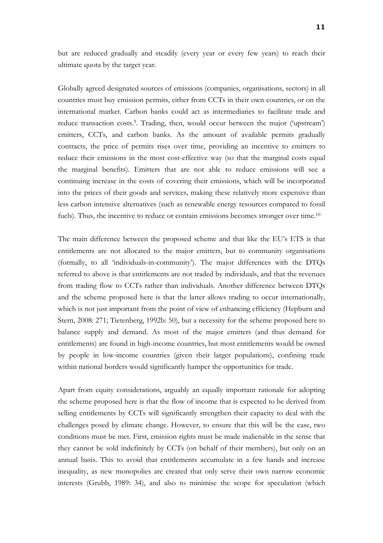but are reduced gradually and steadily (every year or every few years) to reach their ultimate quota by the target year.

Globally agreed designated sources of emissions (companies, organisations, sectors) in all countries must buy emission permits, either from CCTs in their own countries, or on the international market. Carbon banks could act as intermediaries to facilitate trade and reduce transaction costs.<sup>9</sup>. Trading, then, would occur between the major ('upstream') emitters, CCTs, and carbon banks. As the amount of available permits gradually contracts, the price of permits rises over time, providing an incentive to emitters to reduce their emissions in the most cost-effective way (so that the marginal costs equal the marginal benefits). Emitters that are not able to reduce emissions will see a continuing increase in the costs of covering their emissions, which will be incorporated into the prices of their goods and services, making these relatively more expensive than less carbon intensive alternatives (such as renewable energy resources compared to fossil fuels). Thus, the incentive to reduce or contain emissions becomes stronger over time.<sup>10</sup>

The main difference between the proposed scheme and that like the EU's ETS is that entitlements are not allocated to the major emitters, but to community organisations (formally, to all 'individuals-in-community'). The major differences with the DTQs referred to above is that entitlements are not traded by individuals, and that the revenues from trading flow to CCTs rather than individuals. Another difference between DTQs and the scheme proposed here is that the latter allows trading to occur internationally, which is not just important from the point of view of enhancing efficiency (Hepburn and Stern, 2008: 271; Tietenberg, 1992b: 50), but a necessity for the scheme proposed here to balance supply and demand. As most of the major emitters (and thus demand for entitlements) are found in high-income countries, but most entitlements would be owned by people in low-income countries (given their larger populations), confining trade within national borders would significantly hamper the opportunities for trade.

Apart from equity considerations, arguably an equally important rationale for adopting the scheme proposed here is that the flow of income that is expected to be derived from selling entitlements by CCTs will significantly strengthen their capacity to deal with the challenges posed by climate change. However, to ensure that this will be the case, two conditions must be met. First, emission rights must be made inalienable in the sense that they cannot be sold indefinitely by CCTs (on behalf of their members), but only on an annual basis. This to avoid that entitlements accumulate in a few hands and increase inequality, as new monopolies are created that only serve their own narrow economic interests (Grubb, 1989: 34), and also to minimise the scope for speculation (which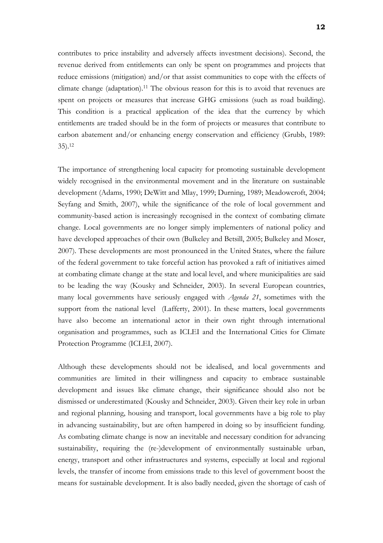contributes to price instability and adversely affects investment decisions). Second, the revenue derived from entitlements can only be spent on programmes and projects that reduce emissions (mitigation) and/or that assist communities to cope with the effects of climate change (adaptation).<sup>11</sup> The obvious reason for this is to avoid that revenues are spent on projects or measures that increase GHG emissions (such as road building). This condition is a practical application of the idea that the currency by which entitlements are traded should be in the form of projects or measures that contribute to carbon abatement and/or enhancing energy conservation and efficiency (Grubb, 1989: 35).<sup>12</sup>

The importance of strengthening local capacity for promoting sustainable development widely recognised in the environmental movement and in the literature on sustainable development (Adams, 1990; DeWitt and Mlay, 1999; Durning, 1989; Meadowcroft, 2004; Seyfang and Smith, 2007), while the significance of the role of local government and community-based action is increasingly recognised in the context of combating climate change. Local governments are no longer simply implementers of national policy and have developed approaches of their own (Bulkeley and Betsill, 2005; Bulkeley and Moser, 2007). These developments are most pronounced in the United States, where the failure of the federal government to take forceful action has provoked a raft of initiatives aimed at combating climate change at the state and local level, and where municipalities are said to be leading the way (Kousky and Schneider, 2003). In several European countries, many local governments have seriously engaged with *Agenda 21*, sometimes with the support from the national level (Lafferty, 2001). In these matters, local governments have also become an international actor in their own right through international organisation and programmes, such as ICLEI and the International Cities for Climate Protection Programme (ICLEI, 2007).

Although these developments should not be idealised, and local governments and communities are limited in their willingness and capacity to embrace sustainable development and issues like climate change, their significance should also not be dismissed or underestimated (Kousky and Schneider, 2003). Given their key role in urban and regional planning, housing and transport, local governments have a big role to play in advancing sustainability, but are often hampered in doing so by insufficient funding. As combating climate change is now an inevitable and necessary condition for advancing sustainability, requiring the (re-)development of environmentally sustainable urban, energy, transport and other infrastructures and systems, especially at local and regional levels, the transfer of income from emissions trade to this level of government boost the means for sustainable development. It is also badly needed, given the shortage of cash of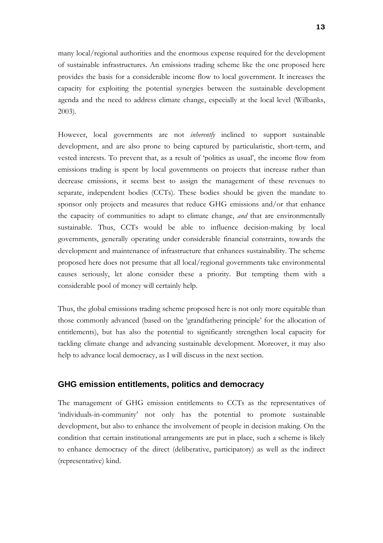**13**

many local/regional authorities and the enormous expense required for the development of sustainable infrastructures. An emissions trading scheme like the one proposed here provides the basis for a considerable income flow to local government. It increases the capacity for exploiting the potential synergies between the sustainable development agenda and the need to address climate change, especially at the local level (Wilbanks, 2003).

However, local governments are not *inherently* inclined to support sustainable development, and are also prone to being captured by particularistic, short-term, and vested interests. To prevent that, as a result of 'politics as usual', the income flow from emissions trading is spent by local governments on projects that increase rather than decrease emissions, it seems best to assign the management of these revenues to separate, independent bodies (CCTs). These bodies should be given the mandate to sponsor only projects and measures that reduce GHG emissions and/or that enhance the capacity of communities to adapt to climate change, *and* that are environmentally sustainable. Thus, CCTs would be able to influence decision-making by local governments, generally operating under considerable financial constraints, towards the development and maintenance of infrastructure that enhances sustainability. The scheme proposed here does not presume that all local/regional governments take environmental causes seriously, let alone consider these a priority. But tempting them with a considerable pool of money will certainly help.

Thus, the global emissions trading scheme proposed here is not only more equitable than those commonly advanced (based on the 'grandfathering principle' for the allocation of entitlements), but has also the potential to significantly strengthen local capacity for tackling climate change and advancing sustainable development. Moreover, it may also help to advance local democracy, as I will discuss in the next section.

#### **GHG emission entitlements, politics and democracy**

The management of GHG emission entitlements to CCTs as the representatives of 'individuals-in-community' not only has the potential to promote sustainable development, but also to enhance the involvement of people in decision making. On the condition that certain institutional arrangements are put in place, such a scheme is likely to enhance democracy of the direct (deliberative, participatory) as well as the indirect (representative) kind.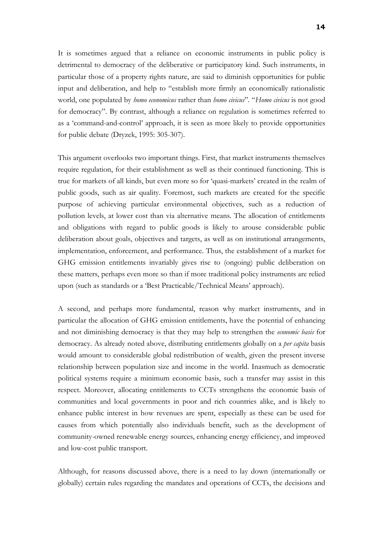It is sometimes argued that a reliance on economic instruments in public policy is detrimental to democracy of the deliberative or participatory kind. Such instruments, in particular those of a property rights nature, are said to diminish opportunities for public input and deliberation, and help to "establish more firmly an economically rationalistic world, one populated by *homo economicus* rather than *homo civicus*"*.* "*Homo civicus* is not good

for democracy". By contrast, although a reliance on regulation is sometimes referred to as a 'command-and-control' approach, it is seen as more likely to provide opportunities for public debate (Dryzek, 1995: 305-307).

This argument overlooks two important things. First, that market instruments themselves require regulation, for their establishment as well as their continued functioning. This is true for markets of all kinds, but even more so for 'quasi-markets' created in the realm of public goods, such as air quality. Foremost, such markets are created for the specific purpose of achieving particular environmental objectives, such as a reduction of pollution levels, at lower cost than via alternative means. The allocation of entitlements and obligations with regard to public goods is likely to arouse considerable public deliberation about goals, objectives and targets, as well as on institutional arrangements, implementation, enforcement, and performance. Thus, the establishment of a market for GHG emission entitlements invariably gives rise to (ongoing) public deliberation on these matters, perhaps even more so than if more traditional policy instruments are relied upon (such as standards or a 'Best Practicable/Technical Means' approach).

A second, and perhaps more fundamental, reason why market instruments, and in particular the allocation of GHG emission entitlements, have the potential of enhancing and not diminishing democracy is that they may help to strengthen the *economic basis* for democracy. As already noted above, distributing entitlements globally on a *per capita* basis would amount to considerable global redistribution of wealth, given the present inverse relationship between population size and income in the world. Inasmuch as democratic political systems require a minimum economic basis, such a transfer may assist in this respect. Moreover, allocating entitlements to CCTs strengthens the economic basis of communities and local governments in poor and rich countries alike, and is likely to enhance public interest in how revenues are spent, especially as these can be used for causes from which potentially also individuals benefit, such as the development of community-owned renewable energy sources, enhancing energy efficiency, and improved and low-cost public transport.

Although, for reasons discussed above, there is a need to lay down (internationally or globally) certain rules regarding the mandates and operations of CCTs, the decisions and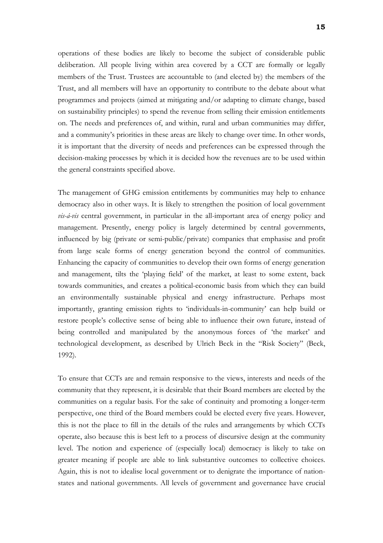operations of these bodies are likely to become the subject of considerable public deliberation. All people living within area covered by a CCT are formally or legally members of the Trust. Trustees are accountable to (and elected by) the members of the Trust, and all members will have an opportunity to contribute to the debate about what programmes and projects (aimed at mitigating and/or adapting to climate change, based on sustainability principles) to spend the revenue from selling their emission entitlements on. The needs and preferences of, and within, rural and urban communities may differ, and a community's priorities in these areas are likely to change over time. In other words, it is important that the diversity of needs and preferences can be expressed through the decision-making processes by which it is decided how the revenues are to be used within the general constraints specified above.

The management of GHG emission entitlements by communities may help to enhance democracy also in other ways. It is likely to strengthen the position of local government *vis-á-vis* central government, in particular in the all-important area of energy policy and management. Presently, energy policy is largely determined by central governments, influenced by big (private or semi-public/private) companies that emphasise and profit from large scale forms of energy generation beyond the control of communities. Enhancing the capacity of communities to develop their own forms of energy generation and management, tilts the 'playing field' of the market, at least to some extent, back towards communities, and creates a political-economic basis from which they can build an environmentally sustainable physical and energy infrastructure. Perhaps most importantly, granting emission rights to 'individuals-in-community' can help build or restore people's collective sense of being able to influence their own future, instead of being controlled and manipulated by the anonymous forces of 'the market' and technological development, as described by Ulrich Beck in the "Risk Society" (Beck, 1992).

To ensure that CCTs are and remain responsive to the views, interests and needs of the community that they represent, it is desirable that their Board members are elected by the communities on a regular basis. For the sake of continuity and promoting a longer-term perspective, one third of the Board members could be elected every five years. However, this is not the place to fill in the details of the rules and arrangements by which CCTs operate, also because this is best left to a process of discursive design at the community level. The notion and experience of (especially local) democracy is likely to take on greater meaning if people are able to link substantive outcomes to collective choices. Again, this is not to idealise local government or to denigrate the importance of nationstates and national governments. All levels of government and governance have crucial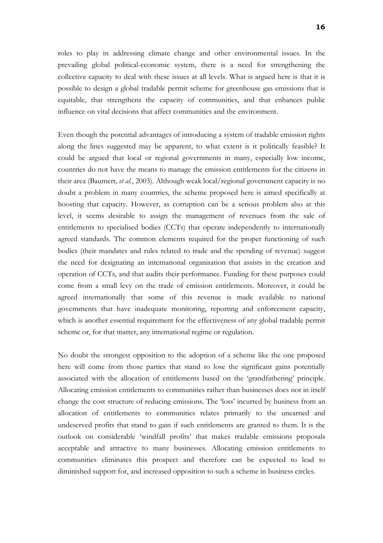roles to play in addressing climate change and other environmental issues. In the prevailing global political-economic system, there is a need for strengthening the collective capacity to deal with these issues at all levels. What is argued here is that it is possible to design a global tradable permit scheme for greenhouse gas emissions that is equitable, that strengthens the capacity of communities, and that enhances public influence on vital decisions that affect communities and the environment.

Even though the potential advantages of introducing a system of tradable emission rights along the lines suggested may be apparent, to what extent is it politically feasible? It could be argued that local or regional governments in many, especially low income, countries do not have the means to manage the emission entitlements for the citizens in their area (Baumert*, et al.*, 2003). Although weak local/regional government capacity is no doubt a problem in many countries, the scheme proposed here is aimed specifically at boosting that capacity. However, as corruption can be a serious problem also at this level, it seems desirable to assign the management of revenues from the sale of entitlements to specialised bodies (CCTs) that operate independently to internationally agreed standards. The common elements required for the proper functioning of such bodies (their mandates and rules related to trade and the spending of revenue) suggest the need for designating an international organisation that assists in the creation and operation of CCTs, and that audits their performance. Funding for these purposes could come from a small levy on the trade of emission entitlements. Moreover, it could be agreed internationally that some of this revenue is made available to national governments that have inadequate monitoring, reporting and enforcement capacity, which is another essential requirement for the effectiveness of any global tradable permit scheme or, for that matter, any international regime or regulation.

No doubt the strongest opposition to the adoption of a scheme like the one proposed here will come from those parties that stand to lose the significant gains potentially associated with the allocation of entitlements based on the 'grandfathering' principle. Allocating emission entitlements to communities rather than businesses does not in itself change the cost structure of reducing emissions. The 'loss' incurred by business from an allocation of entitlements to communities relates primarily to the unearned and undeserved profits that stand to gain if such entitlements are granted to them. It is the outlook on considerable 'windfall profits' that makes tradable emissions proposals acceptable and attractive to many businesses. Allocating emission entitlements to communities eliminates this prospect and therefore can be expected to lead to diminished support for, and increased opposition to such a scheme in business circles.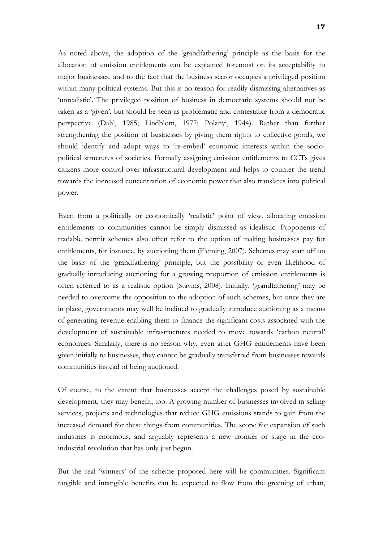As noted above, the adoption of the 'grandfathering' principle as the basis for the allocation of emission entitlements can be explained foremost on its acceptability to major businesses, and to the fact that the business sector occupies a privileged position within many political systems. But this is no reason for readily dismissing alternatives as 'unrealistic'. The privileged position of business in democratic systems should not be taken as a 'given', but should be seen as problematic and contestable from a democratic perspective (Dahl, 1985; Lindblom, 1977; Polanyi, 1944). Rather than further strengthening the position of businesses by giving them rights to collective goods, we should identify and adopt ways to 're-embed' economic interests within the sociopolitical structures of societies. Formally assigning emission entitlements to CCTs gives citizens more control over infrastructural development and helps to counter the trend towards the increased concentration of economic power that also translates into political power.

Even from a politically or economically 'realistic' point of view, allocating emission entitlements to communities cannot be simply dismissed as idealistic. Proponents of tradable permit schemes also often refer to the option of making businesses pay for entitlements, for instance, by auctioning them (Fleming, 2007). Schemes may start off on the basis of the 'grandfathering' principle, but the possibility or even likelihood of gradually introducing auctioning for a growing proportion of emission entitlements is often referred to as a realistic option (Stavins, 2008). Initially, 'grandfathering' may be needed to overcome the opposition to the adoption of such schemes, but once they are in place, governments may well be inclined to gradually introduce auctioning as a means of generating revenue enabling them to finance the significant costs associated with the development of sustainable infrastructures needed to move towards 'carbon neutral' economies. Similarly, there is no reason why, even after GHG entitlements have been given initially to businesses, they cannot be gradually transferred from businesses towards communities instead of being auctioned.

Of course, to the extent that businesses accept the challenges posed by sustainable development, they may benefit, too. A growing number of businesses involved in selling services, projects and technologies that reduce GHG emissions stands to gain from the increased demand for these things from communities. The scope for expansion of such industries is enormous, and arguably represents a new frontier or stage in the ecoindustrial revolution that has only just begun.

But the real 'winners' of the scheme proposed here will be communities. Significant tangible and intangible benefits can be expected to flow from the greening of urban,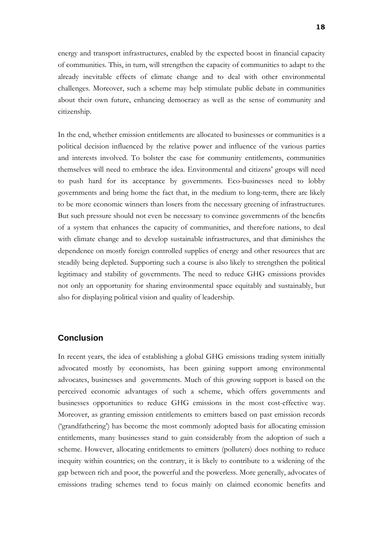energy and transport infrastructures, enabled by the expected boost in financial capacity of communities. This, in turn, will strengthen the capacity of communities to adapt to the already inevitable effects of climate change and to deal with other environmental challenges. Moreover, such a scheme may help stimulate public debate in communities about their own future, enhancing democracy as well as the sense of community and citizenship.

In the end, whether emission entitlements are allocated to businesses or communities is a political decision influenced by the relative power and influence of the various parties and interests involved. To bolster the case for community entitlements, communities themselves will need to embrace the idea. Environmental and citizens' groups will need to push hard for its acceptance by governments. Eco-businesses need to lobby governments and bring home the fact that, in the medium to long-term, there are likely to be more economic winners than losers from the necessary greening of infrastructures. But such pressure should not even be necessary to convince governments of the benefits of a system that enhances the capacity of communities, and therefore nations, to deal with climate change and to develop sustainable infrastructures, and that diminishes the dependence on mostly foreign controlled supplies of energy and other resources that are steadily being depleted. Supporting such a course is also likely to strengthen the political legitimacy and stability of governments. The need to reduce GHG emissions provides not only an opportunity for sharing environmental space equitably and sustainably, but also for displaying political vision and quality of leadership.

### **Conclusion**

In recent years, the idea of establishing a global GHG emissions trading system initially advocated mostly by economists, has been gaining support among environmental advocates, businesses and governments. Much of this growing support is based on the perceived economic advantages of such a scheme, which offers governments and businesses opportunities to reduce GHG emissions in the most cost-effective way. Moreover, as granting emission entitlements to emitters based on past emission records ('grandfathering') has become the most commonly adopted basis for allocating emission entitlements, many businesses stand to gain considerably from the adoption of such a scheme. However, allocating entitlements to emitters (polluters) does nothing to reduce inequity within countries; on the contrary, it is likely to contribute to a widening of the gap between rich and poor, the powerful and the powerless. More generally, advocates of emissions trading schemes tend to focus mainly on claimed economic benefits and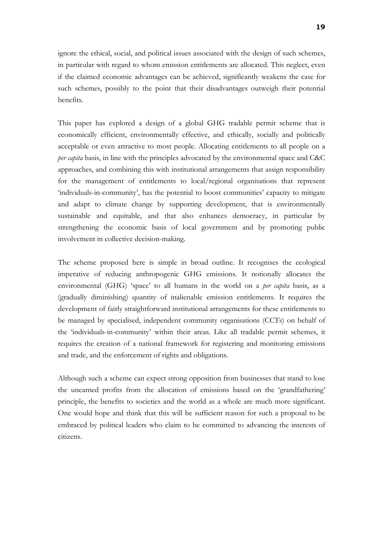ignore the ethical, social, and political issues associated with the design of such schemes, in particular with regard to whom emission entitlements are allocated. This neglect, even if the claimed economic advantages can be achieved, significantly weakens the case for such schemes, possibly to the point that their disadvantages outweigh their potential benefits.

This paper has explored a design of a global GHG tradable permit scheme that is economically efficient, environmentally effective, and ethically, socially and politically acceptable or even attractive to most people. Allocating entitlements to all people on a *per capita* basis, in line with the principles advocated by the environmental space and C&C approaches, and combining this with institutional arrangements that assign responsibility for the management of entitlements to local/regional organisations that represent 'individuals-in-community', has the potential to boost communities' capacity to mitigate and adapt to climate change by supporting development, that is environmentally sustainable and equitable, and that also enhances democracy, in particular by strengthening the economic basis of local government and by promoting public involvement in collective decision-making.

The scheme proposed here is simple in broad outline. It recognises the ecological imperative of reducing anthropogenic GHG emissions. It notionally allocates the environmental (GHG) 'space' to all humans in the world on a *per capita* basis, as a (gradually diminishing) quantity of inalienable emission entitlements. It requires the development of fairly straightforward institutional arrangements for these entitlements to be managed by specialised, independent community organisations (CCTs) on behalf of the 'individuals-in-community' within their areas. Like all tradable permit schemes, it requires the creation of a national framework for registering and monitoring emissions and trade, and the enforcement of rights and obligations.

Although such a scheme can expect strong opposition from businesses that stand to lose the unearned profits from the allocation of emissions based on the 'grandfathering' principle, the benefits to societies and the world as a whole are much more significant. One would hope and think that this will be sufficient reason for such a proposal to be embraced by political leaders who claim to be committed to advancing the interests of citizens.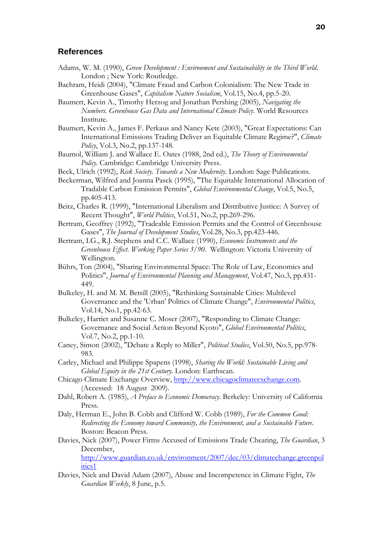#### **References**

- Adams, W. M. (1990), *Green Development : Environment and Sustainability in the Third World*. London ; New York: Routledge.
- Bachram, Heidi (2004), "Climate Fraud and Carbon Colonialism: The New Trade in Greenhouse Gases", *Capitalism Nature Socialism*, Vol.15, No.4, pp.5-20.
- Baumert, Kevin A., Timothy Herzog and Jonathan Pershing (2005), *Navigating the Numbers. Greenhouse Gas Data and International Climate Policy*. World Resources Institute.
- Baumert, Kevin A., James F. Perkaus and Nancy Kete (2003), "Great Expectations: Can International Emissions Trading Deliver an Equitable Climate Regime?", *Climate Policy*, Vol.3, No.2, pp.137-148.
- Baumol, William J. and Wallace E. Oates (1988, 2nd ed.), *The Theory of Environmental Policy*. Cambridge: Cambridge University Press.
- Beck, Ulrich (1992), *Risk Society. Towards a New Modernity*. London: Sage Publications.
- Beckerman, Wilfred and Joanna Pasek (1995), "The Equitable International Allocation of Tradable Carbon Emission Permits", *Global Environmental Change*, Vol.5, No.5, pp.405-413.
- Beitz, Charles R. (1999), "International Liberalism and Distributive Justice: A Survey of Recent Thought", *World Politics*, Vol.51, No.2, pp.269-296.
- Bertram, Geoffrey (1992), "Tradeable Emission Permits and the Control of Greenhouse Gases", *The Journal of Development Studies*, Vol.28, No.3, pp.423-446.
- Bertram, I.G., R.J. Stephens and C.C. Wallace (1990), *Economic Instruments and the Greenhouse Effect*. *Working Paper Series 3/90*. Wellington: Victoria University of Wellington.
- Bührs, Ton (2004), "Sharing Environmental Space: The Role of Law, Economics and Politics", *Journal of Environmental Planning and Management*, Vol.47, No.3, pp.431- 449.
- Bulkeley, H. and M. M. Betsill (2005), "Rethinking Sustainable Cities: Multilevel Governance and the 'Urban' Politics of Climate Change", *Environmental Politics*, Vol.14, No.1, pp.42-63.
- Bulkeley, Harriet and Susanne C. Moser (2007), "Responding to Climate Change: Governance and Social Action Beyond Kyoto", *Global Environmental Politics*, Vol.7, No.2, pp.1-10.
- Caney, Simon (2002), "Debate a Reply to Miller", *Political Studies*, Vol.50, No.5, pp.978- 983.
- Carley, Michael and Philippe Spapens (1998), *Sharing the World: Sustainable Living and Global Equity in the 21st Century*. London: Earthscan.
- Chicago Climate Exchange Overview, http://www.chicagoclimateexchange.com. (Accessed: 18 August 2009).
- Dahl, Robert A. (1985), *A Preface to Economic Democracy*. Berkeley: University of California Press.
- Daly, Herman E., John B. Cobb and Clifford W. Cobb (1989), *For the Common Good: Redirecting the Economy toward Community, the Environment, and a Sustainable Future*. Boston: Beacon Press.
- Davies, Nick (2007), Power Firms Accused of Emissions Trade Cheating, *The Guardian*, 3 December,

http://www.guardian.co.uk/environment/2007/dec/03/climatechange.greenpol itics1

Davies, Nick and David Adam (2007), Abuse and Incompetence in Climate Fight, *The Guardian Weekly*, 8 June, p.5.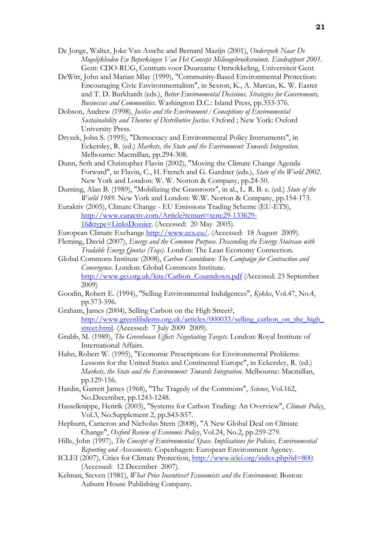De Jonge, Walter, Joke Van Assche and Bernard Mazijn (2001), *Onderzoek Naar De Mogelijkheden En Beperkingen Van Het Concept Milieugebruiksruimte. Eindrapport 2001.* Gent: CDO-RUG, Centrum voor Duurzame Ontwikkeling, Universiteit Gent.

- DeWitt, John and Marian Mlay (1999), "Community-Based Environmental Protection: Encouraging Civic Environmentalism", in Sexton, K., A. Marcus, K. W. Easter and T. D. Burkhardt (eds.), *Better Environmental Decisions. Strategies for Governments, Businesses and Communities*. Washington D.C.: Island Press, pp.353-376.
- Dobson, Andrew (1998), *Justice and the Environment : Conceptions of Environmental Sustainability and Theories of Distributive Justice*. Oxford ; New York: Oxford University Press.
- Dryzek, John S. (1995), "Democracy and Environmental Policy Instruments", in Eckersley, R. (ed.) *Markets, the State and the Environment: Towards Integration*. Melbourne: Macmillan, pp.294-308.
- Dunn, Seth and Christopher Flavin (2002), "Moving the Climate Change Agenda Forward", in Flavin, C., H. French and G. Gardner (eds.), *State of the World 2002*. New York and London: W. W. Norton & Company, pp.24-50.
- Durning, Alan B. (1989), "Mobilizing the Grassroots", in al., L. R. B. e. (ed.) *State of the World 1989*. New York and London: W.W. Norton & Company, pp.154-173.

Euraktiv (2005), Climate Change - EU Emissions Trading Scheme (EU-ETS), http://www.euractiv.com/Article?tcmuri=tcm:29-133629- 16&type=LinksDossier. (Accessed: 20 May 2005).

- European Climate Exchange http://www.ecx.eu/. (Accessed: 18 August 2009).
- Fleming, David (2007), *Energy and the Common Purpose. Descending the Energy Staircase with Tradable Energy Quotas (Teqs)*. London: The Lean Economy Connection.
- Global Commons Institute (2008), *Carbon Countdown: The Campaign for Contraction and Convergence*. London: Global Commons Institute. http://www.gci.org.uk/kite/Carbon\_Countdown.pdf (Accessed: 23 September 2009)
- Goodin, Robert E. (1994), "Selling Environmental Indulgences", *Kyklos*, Vol.47, No.4, pp.573-596.
- Graham, James (2004), Selling Carbon on the High Street?, http://www.greenlibdems.org.uk/articles/000033/selling\_carbon\_on\_the\_high\_ street.html. (Accessed: 7 July 2009 2009).
- Grubb, M. (1989), *The Greenhouse Effect: Negotiating Targets*. London: Royal Institute of International Affairs.
- Hahn, Robert W. (1995), "Economic Prescriptions for Environmental Problems: Lessons for the United States and Continental Europe", in Eckersley, R. (ed.) *Markets, the State and the Environment: Towards Integration*. Melbourne: Macmillan, pp.129-156.
- Hardin, Garrett James (1968), "The Tragedy of the Commons", *Science*, Vol.162, No.December, pp.1243-1248.
- Hasselknippe, Henrik (2003), "Systems for Carbon Trading: An Overview", *Climate Policy*, Vol.3, No.Supplement 2, pp.S43-S57.
- Hepburn, Cameron and Nicholas Stern (2008), "A New Global Deal on Climate Change", *Oxford Review of Economic Policy*, Vol.24, No.2, pp.259-279.
- Hille, John (1997), *The Concept of Environmental Space. Implications for Policies, Environmental Reporting and Assessments*. Copenhagen: European Environment Agency.
- ICLEI (2007), Cities for Climate Protection, http://www.iclei.org/index.php?id=800. (Accessed: 12 December 2007).
- Kelman, Steven (1981), *What Price Incentives? Economists and the Environment*. Boston: Auburn House Publishing Company.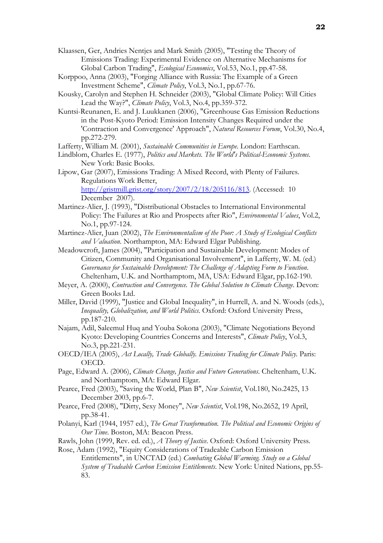- Klaassen, Ger, Andries Nentjes and Mark Smith (2005), "Testing the Theory of Emissions Trading: Experimental Evidence on Alternative Mechanisms for Global Carbon Trading", *Ecological Economics*, Vol.53, No.1, pp.47-58.
- Korppoo, Anna (2003), "Forging Alliance with Russia: The Example of a Green Investment Scheme", *Climate Policy*, Vol.3, No.1, pp.67-76.
- Kousky, Carolyn and Stephen H. Schneider (2003), "Global Climate Policy: Will Cities Lead the Way?", *Climate Policy*, Vol.3, No.4, pp.359-372.
- Kuntsi-Reunanen, E. and J. Luukkanen (2006), "Greenhouse Gas Emission Reductions in the Post-Kyoto Period: Emission Intensity Changes Required under the 'Contraction and Convergence' Approach", *Natural Resources Forum*, Vol.30, No.4, pp.272-279.
- Lafferty, William M. (2001), *Sustainable Communities in Europe*. London: Earthscan.
- Lindblom, Charles E. (1977), *Politics and Markets. The World's Political-Economic Systems*. New York: Basic Books.
- Lipow, Gar (2007), Emissions Trading: A Mixed Record, with Plenty of Failures. Regulations Work Better, http://gristmill.grist.org/story/2007/2/18/205116/813. (Accessed: 10

December 2007).

- Martinez-Alier, J. (1993), "Distributional Obstacles to International Environmental Policy: The Failures at Rio and Prospects after Rio", *Environmental Values*, Vol.2, No.1, pp.97-124.
- Martinez-Alier, Juan (2002), *The Environmentalism of the Poor: A Study of Ecological Conflicts and Valuation*. Northampton, MA: Edward Elgar Publishing.
- Meadowcroft, James (2004), "Participation and Sustainable Development: Modes of Citizen, Community and Organisational Involvement", in Lafferty, W. M. (ed.) *Governance for Sustainable Development: The Challenge of Adapting Form to Function*. Cheltenham, U.K. and Northamptom, MA, USA: Edward Elgar, pp.162-190.
- Meyer, A. (2000), *Contraction and Convergence. The Global Solution to Climate Change*. Devon: Green Books Ltd.
- Miller, David (1999), "Justice and Global Inequality", in Hurrell, A. and N. Woods (eds.), *Inequality, Globalization, and World Politics*. Oxford: Oxford University Press, pp.187-210.
- Najam, Adil, Saleemul Huq and Youba Sokona (2003), "Climate Negotiations Beyond Kyoto: Developing Countries Concerns and Interests", *Climate Policy*, Vol.3, No.3, pp.221-231.
- OECD/IEA (2005), *Act Locally, Trade Globally. Emissions Trading for Climate Policy*. Paris: OECD.
- Page, Edward A. (2006), *Climate Change, Justice and Future Generations*. Cheltenham, U.K. and Northamptom, MA: Edward Elgar.
- Pearce, Fred (2003), "Saving the World, Plan B", *New Scientist*, Vol.180, No.2425, 13 December 2003, pp.6-7.
- Pearce, Fred (2008), "Dirty, Sexy Money", *New Scientist*, Vol.198, No.2652, 19 April, pp.38-41.
- Polanyi, Karl (1944, 1957 ed.), *The Great Tranformation. The Political and Economic Origins of Our Time*. Boston, MA: Beacon Press.

Rawls, John (1999, Rev. ed. ed.), *A Theory of Justice*. Oxford: Oxford University Press.

Rose, Adam (1992), "Equity Considerations of Tradeable Carbon Emission Entitlements", in UNCTAD (ed.) *Combating Global Warming. Study on a Global System of Tradeable Carbon Emission Entitlements*. New York: United Nations, pp.55- 83.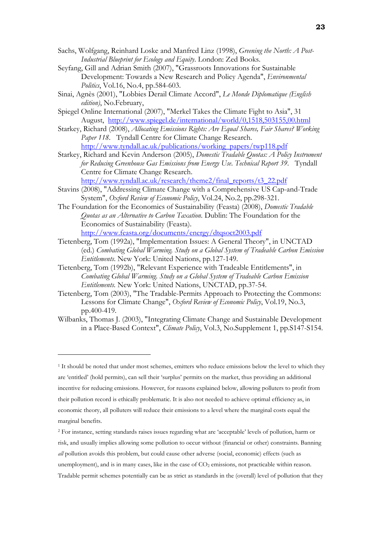- Sachs, Wolfgang, Reinhard Loske and Manfred Linz (1998), *Greening the North: A Post-Industrial Blueprint for Ecology and Equity*. London: Zed Books.
- Seyfang, Gill and Adrian Smith (2007), "Grassroots Innovations for Sustainable Development: Towards a New Research and Policy Agenda", *Environmental Politics*, Vol.16, No.4, pp.584-603.
- Sinai, Agnès (2001), "Lobbies Derail Climate Accord", *Le Monde Diplomatique (English edition)*, No.February,
- Spiegel Online International (2007), "Merkel Takes the Climate Fight to Asia", 31 August, http://www.spiegel.de/international/world/0,1518,503155,00.html
- Starkey, Richard (2008), *Allocating Emissions Rights: Are Equal Shares, Fair Shares? Working Paper 118*. Tyndall Centre for Climate Change Research. http://www.tyndall.ac.uk/publications/working\_papers/twp118.pdf
- 
- Starkey, Richard and Kevin Anderson (2005), *Domestic Tradable Quotas: A Policy Instrument for Reducing Greenhouse Gas Emissions from Energy Use*. *Technical Report 39*. Tyndall Centre for Climate Change Research.

http://www.tyndall.ac.uk/research/theme2/final\_reports/t3\_22.pdf

- Stavins (2008), "Addressing Climate Change with a Comprehensive US Cap-and-Trade System", *Oxford Review of Economic Policy*, Vol.24, No.2, pp.298-321.
- The Foundation for the Economics of Sustainability (Feasta) (2008), *Domestic Tradable Quotas as an Alternative to Carbon Taxation*. Dublin: The Foundation for the Economics of Sustainability (Feasta). http://www.feasta.org/documents/energy/dtqsoct2003.pdf
- Tietenberg, Tom (1992a), "Implementation Issues: A General Theory", in UNCTAD (ed.) *Combating Global Warming. Study on a Global System of Tradeable Carbon Emission Entitlements*. New York: United Nations, pp.127-149.
- Tietenberg, Tom (1992b), "Relevant Experience with Tradeable Entitlements", in *Combating Global Warming. Study on a Global System of Tradeable Carbon Emission Entitlements.* New York: United Nations, UNCTAD, pp.37-54.
- Tietenberg, Tom (2003), "The Tradable-Permits Approach to Protecting the Commons: Lessons for Climate Change", *Oxford Review of Economic Policy*, Vol.19, No.3, pp.400-419.
- Wilbanks, Thomas J. (2003), "Integrating Climate Change and Sustainable Development in a Place-Based Context", *Climate Policy*, Vol.3, No.Supplement 1, pp.S147-S154.

<sup>&</sup>lt;sup>1</sup> It should be noted that under most schemes, emitters who reduce emissions below the level to which they are 'entitled' (hold permits), can sell their 'surplus' permits on the market, thus providing an additional incentive for reducing emissions. However, for reasons explained below, allowing polluters to profit from their pollution record is ethically problematic. It is also not needed to achieve optimal efficiency as, in economic theory, all polluters will reduce their emissions to a level where the marginal costs equal the marginal benefits.

<sup>2</sup> For instance, setting standards raises issues regarding what are 'acceptable' levels of pollution, harm or risk, and usually implies allowing some pollution to occur without (financial or other) constraints. Banning *all* pollution avoids this problem, but could cause other adverse (social, economic) effects (such as unemployment), and is in many cases, like in the case of  $CO<sub>2</sub>$  emissions, not practicable within reason. Tradable permit schemes potentially can be as strict as standards in the (overall) level of pollution that they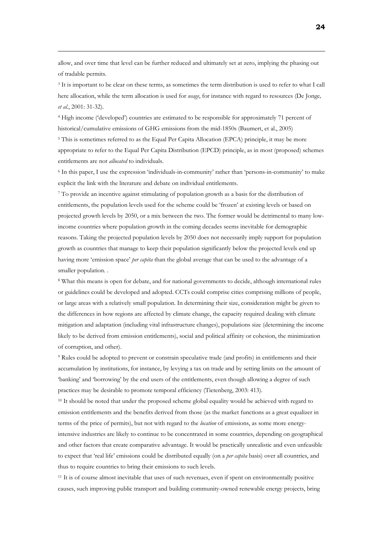allow, and over time that level can be further reduced and ultimately set at zero, implying the phasing out of tradable permits.

<sup>3</sup> It is important to be clear on these terms, as sometimes the term distribution is used to refer to what I call here allocation, while the term allocation is used for *usage*, for instance with regard to resources (De Jonge*, et al.*, 2001: 31-32).

<sup>4</sup> High income ('developed') countries are estimated to be responsible for approximately 71 percent of historical/cumulative emissions of GHG emissions from the mid-1850s (Baumert, et al., 2005) <sup>5</sup> This is sometimes referred to as the Equal Per Capita Allocation (EPCA) principle, it may be more appropriate to refer to the Equal Per Capita Distribution (EPCD) principle, as in most (proposed) schemes entitlements are not *allocated* to individuals.

<sup>6</sup> In this paper, I use the expression 'individuals-in-community' rather than 'persons-in-community' to make explicit the link with the literature and debate on individual entitlements.

<sup>7</sup> To provide an incentive against stimulating of population growth as a basis for the distribution of entitlements, the population levels used for the scheme could be 'frozen' at existing levels or based on projected growth levels by 2050, or a mix between the two. The former would be detrimental to many lowincome countries where population growth in the coming decades seems inevitable for demographic reasons. Taking the projected population levels by 2050 does not necessarily imply support for population growth as countries that manage to keep their population significantly below the projected levels end up having more 'emission space' *per capita* than the global average that can be used to the advantage of a smaller population. .

<sup>8</sup> What this means is open for debate, and for national governments to decide, although international rules or guidelines could be developed and adopted. CCTs could comprise cities comprising millions of people, or large areas with a relatively small population. In determining their size, consideration might be given to the differences in how regions are affected by climate change, the capacity required dealing with climate mitigation and adaptation (including vital infrastructure changes), populations size (determining the income likely to be derived from emission entitlements), social and political affinity or cohesion, the minimization of corruption, and other).

<sup>9</sup> Rules could be adopted to prevent or constrain speculative trade (and profits) in entitlements and their accumulation by institutions, for instance, by levying a tax on trade and by setting limits on the amount of 'banking' and 'borrowing' by the end users of the entitlements, even though allowing a degree of such practices may be desirable to promote temporal efficiency (Tietenberg, 2003: 413).

<sup>10</sup> It should be noted that under the proposed scheme global equality would be achieved with regard to emission entitlements and the benefits derived from those (as the market functions as a great equalizer in terms of the price of permits), but not with regard to the *location* of emissions, as some more energyintensive industries are likely to continue to be concentrated in some countries, depending on geographical and other factors that create comparative advantage. It would be practically unrealistic and even unfeasible to expect that 'real life' emissions could be distributed equally (on a *per capita* basis) over all countries, and thus to require countries to bring their emissions to such levels.

<sup>11</sup> It is of course almost inevitable that uses of such revenues, even if spent on environmentally positive causes, such improving public transport and building community-owned renewable energy projects, bring